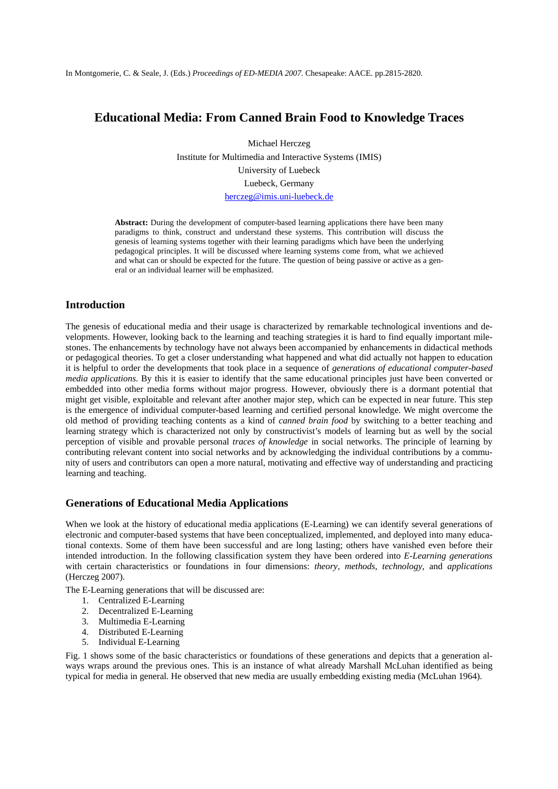In Montgomerie, C. & Seale, J. (Eds.) *Proceedings of ED-MEDIA 2007*. Chesapeake: AACE. pp.2815-2820.

### **Educational Media: From Canned Brain Food to Knowledge Traces**

Michael Herczeg Institute for Multimedia and Interactive Systems (IMIS) University of Luebeck Luebeck, Germany herczeg@imis.uni-luebeck.de

**Abstract:** During the development of computer-based learning applications there have been many paradigms to think, construct and understand these systems. This contribution will discuss the genesis of learning systems together with their learning paradigms which have been the underlying pedagogical principles. It will be discussed where learning systems come from, what we achieved and what can or should be expected for the future. The question of being passive or active as a general or an individual learner will be emphasized.

### **Introduction**

The genesis of educational media and their usage is characterized by remarkable technological inventions and developments. However, looking back to the learning and teaching strategies it is hard to find equally important milestones. The enhancements by technology have not always been accompanied by enhancements in didactical methods or pedagogical theories. To get a closer understanding what happened and what did actually not happen to education it is helpful to order the developments that took place in a sequence of *generations of educational computer-based media applications*. By this it is easier to identify that the same educational principles just have been converted or embedded into other media forms without major progress. However, obviously there is a dormant potential that might get visible, exploitable and relevant after another major step, which can be expected in near future. This step is the emergence of individual computer-based learning and certified personal knowledge. We might overcome the old method of providing teaching contents as a kind of *canned brain food* by switching to a better teaching and learning strategy which is characterized not only by constructivist's models of learning but as well by the social perception of visible and provable personal *traces of knowledge* in social networks. The principle of learning by contributing relevant content into social networks and by acknowledging the individual contributions by a community of users and contributors can open a more natural, motivating and effective way of understanding and practicing learning and teaching.

### **Generations of Educational Media Applications**

When we look at the history of educational media applications (E-Learning) we can identify several generations of electronic and computer-based systems that have been conceptualized, implemented, and deployed into many educational contexts. Some of them have been successful and are long lasting; others have vanished even before their intended introduction. In the following classification system they have been ordered into *E-Learning generations* with certain characteristics or foundations in four dimensions: *theory*, *methods*, *technology*, and *applications*  (Herczeg 2007).

The E-Learning generations that will be discussed are:

- 1. Centralized E-Learning
- 2. Decentralized E-Learning
- 3. Multimedia E-Learning
- 4. Distributed E-Learning
- 5. Individual E-Learning

Fig. 1 shows some of the basic characteristics or foundations of these generations and depicts that a generation always wraps around the previous ones. This is an instance of what already Marshall McLuhan identified as being typical for media in general. He observed that new media are usually embedding existing media (McLuhan 1964).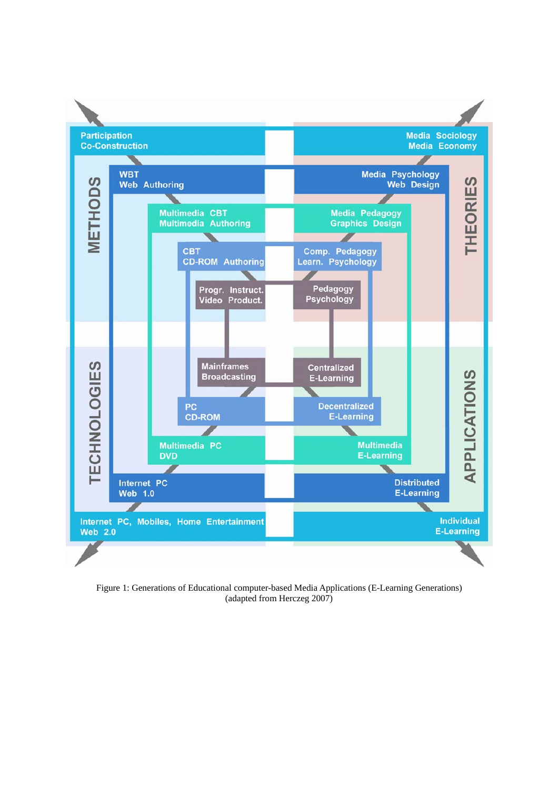

Figure 1: Generations of Educational computer-based Media Applications (E-Learning Generations) (adapted from Herczeg 2007)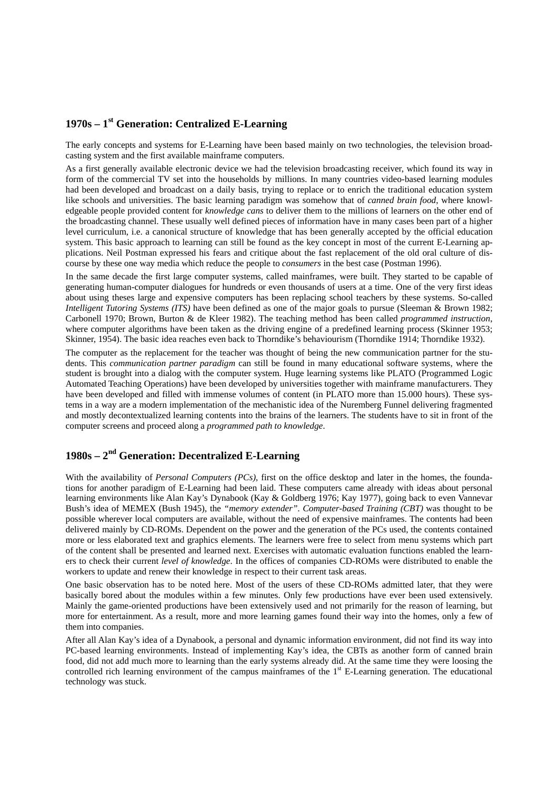## **1970s – 1st Generation: Centralized E-Learning**

The early concepts and systems for E-Learning have been based mainly on two technologies, the television broadcasting system and the first available mainframe computers.

As a first generally available electronic device we had the television broadcasting receiver, which found its way in form of the commercial TV set into the households by millions. In many countries video-based learning modules had been developed and broadcast on a daily basis, trying to replace or to enrich the traditional education system like schools and universities. The basic learning paradigm was somehow that of *canned brain food*, where knowledgeable people provided content for *knowledge cans* to deliver them to the millions of learners on the other end of the broadcasting channel. These usually well defined pieces of information have in many cases been part of a higher level curriculum, i.e. a canonical structure of knowledge that has been generally accepted by the official education system. This basic approach to learning can still be found as the key concept in most of the current E-Learning applications. Neil Postman expressed his fears and critique about the fast replacement of the old oral culture of discourse by these one way media which reduce the people to *consumers* in the best case (Postman 1996).

In the same decade the first large computer systems, called mainframes, were built. They started to be capable of generating human-computer dialogues for hundreds or even thousands of users at a time. One of the very first ideas about using theses large and expensive computers has been replacing school teachers by these systems. So-called *Intelligent Tutoring Systems (ITS)* have been defined as one of the major goals to pursue (Sleeman & Brown 1982; Carbonell 1970; Brown, Burton & de Kleer 1982). The teaching method has been called *programmed instruction*, where computer algorithms have been taken as the driving engine of a predefined learning process (Skinner 1953; Skinner, 1954). The basic idea reaches even back to Thorndike's behaviourism (Thorndike 1914; Thorndike 1932).

The computer as the replacement for the teacher was thought of being the new communication partner for the students. This *communication partner paradigm* can still be found in many educational software systems, where the student is brought into a dialog with the computer system. Huge learning systems like PLATO (Programmed Logic Automated Teaching Operations) have been developed by universities together with mainframe manufacturers. They have been developed and filled with immense volumes of content (in PLATO more than 15.000 hours). These systems in a way are a modern implementation of the mechanistic idea of the Nuremberg Funnel delivering fragmented and mostly decontextualized learning contents into the brains of the learners. The students have to sit in front of the computer screens and proceed along a *programmed path to knowledge*.

## **1980s – 2nd Generation: Decentralized E-Learning**

With the availability of *Personal Computers (PCs)*, first on the office desktop and later in the homes, the foundations for another paradigm of E-Learning had been laid. These computers came already with ideas about personal learning environments like Alan Kay's Dynabook (Kay & Goldberg 1976; Kay 1977), going back to even Vannevar Bush's idea of MEMEX (Bush 1945), the *"memory extender"*. *Computer-based Training (CBT)* was thought to be possible wherever local computers are available, without the need of expensive mainframes. The contents had been delivered mainly by CD-ROMs. Dependent on the power and the generation of the PCs used, the contents contained more or less elaborated text and graphics elements. The learners were free to select from menu systems which part of the content shall be presented and learned next. Exercises with automatic evaluation functions enabled the learners to check their current *level of knowledge*. In the offices of companies CD-ROMs were distributed to enable the workers to update and renew their knowledge in respect to their current task areas.

One basic observation has to be noted here. Most of the users of these CD-ROMs admitted later, that they were basically bored about the modules within a few minutes. Only few productions have ever been used extensively. Mainly the game-oriented productions have been extensively used and not primarily for the reason of learning, but more for entertainment. As a result, more and more learning games found their way into the homes, only a few of them into companies.

After all Alan Kay's idea of a Dynabook, a personal and dynamic information environment, did not find its way into PC-based learning environments. Instead of implementing Kay's idea, the CBTs as another form of canned brain food, did not add much more to learning than the early systems already did. At the same time they were loosing the controlled rich learning environment of the campus mainframes of the 1<sup>st</sup> E-Learning generation. The educational technology was stuck.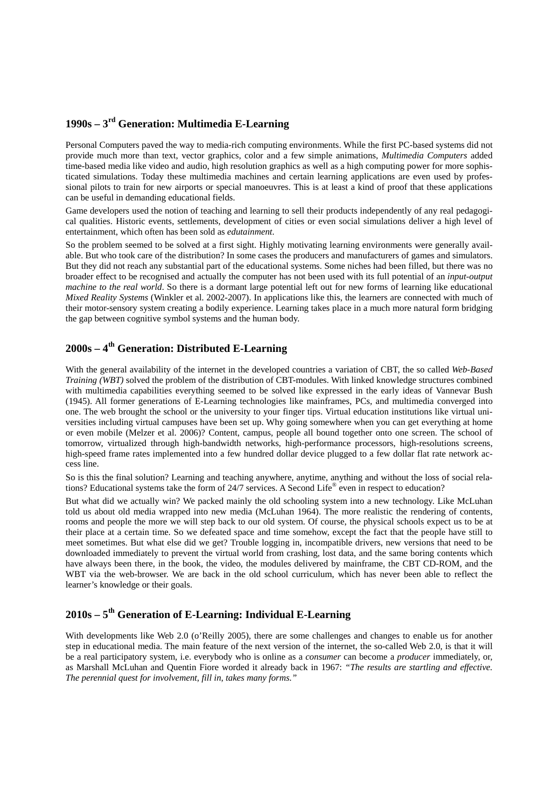# **1990s – 3rd Generation: Multimedia E-Learning**

Personal Computers paved the way to media-rich computing environments. While the first PC-based systems did not provide much more than text, vector graphics, color and a few simple animations, *Multimedia Computers* added time-based media like video and audio, high resolution graphics as well as a high computing power for more sophisticated simulations. Today these multimedia machines and certain learning applications are even used by professional pilots to train for new airports or special manoeuvres. This is at least a kind of proof that these applications can be useful in demanding educational fields.

Game developers used the notion of teaching and learning to sell their products independently of any real pedagogical qualities. Historic events, settlements, development of cities or even social simulations deliver a high level of entertainment, which often has been sold as *edutainment*.

So the problem seemed to be solved at a first sight. Highly motivating learning environments were generally available. But who took care of the distribution? In some cases the producers and manufacturers of games and simulators. But they did not reach any substantial part of the educational systems. Some niches had been filled, but there was no broader effect to be recognised and actually the computer has not been used with its full potential of an *input-output machine to the real world*. So there is a dormant large potential left out for new forms of learning like educational *Mixed Reality Systems* (Winkler et al. 2002-2007). In applications like this, the learners are connected with much of their motor-sensory system creating a bodily experience. Learning takes place in a much more natural form bridging the gap between cognitive symbol systems and the human body.

## **2000s – 4th Generation: Distributed E-Learning**

With the general availability of the internet in the developed countries a variation of CBT, the so called *Web-Based Training (WBT)* solved the problem of the distribution of CBT-modules. With linked knowledge structures combined with multimedia capabilities everything seemed to be solved like expressed in the early ideas of Vannevar Bush (1945). All former generations of E-Learning technologies like mainframes, PCs, and multimedia converged into one. The web brought the school or the university to your finger tips. Virtual education institutions like virtual universities including virtual campuses have been set up. Why going somewhere when you can get everything at home or even mobile (Melzer et al. 2006)? Content, campus, people all bound together onto one screen. The school of tomorrow, virtualized through high-bandwidth networks, high-performance processors, high-resolutions screens, high-speed frame rates implemented into a few hundred dollar device plugged to a few dollar flat rate network access line.

So is this the final solution? Learning and teaching anywhere, anytime, anything and without the loss of social relations? Educational systems take the form of 24/7 services. A Second Life® even in respect to education?

But what did we actually win? We packed mainly the old schooling system into a new technology. Like McLuhan told us about old media wrapped into new media (McLuhan 1964). The more realistic the rendering of contents, rooms and people the more we will step back to our old system. Of course, the physical schools expect us to be at their place at a certain time. So we defeated space and time somehow, except the fact that the people have still to meet sometimes. But what else did we get? Trouble logging in, incompatible drivers, new versions that need to be downloaded immediately to prevent the virtual world from crashing, lost data, and the same boring contents which have always been there, in the book, the video, the modules delivered by mainframe, the CBT CD-ROM, and the WBT via the web-browser. We are back in the old school curriculum, which has never been able to reflect the learner's knowledge or their goals.

## **2010s – 5th Generation of E-Learning: Individual E-Learning**

With developments like Web 2.0 (o'Reilly 2005), there are some challenges and changes to enable us for another step in educational media. The main feature of the next version of the internet, the so-called Web 2.0, is that it will be a real participatory system, i.e. everybody who is online as a *consumer* can become a *producer* immediately, or, as Marshall McLuhan and Quentin Fiore worded it already back in 1967: *"The results are startling and effective. The perennial quest for involvement, fill in, takes many forms."*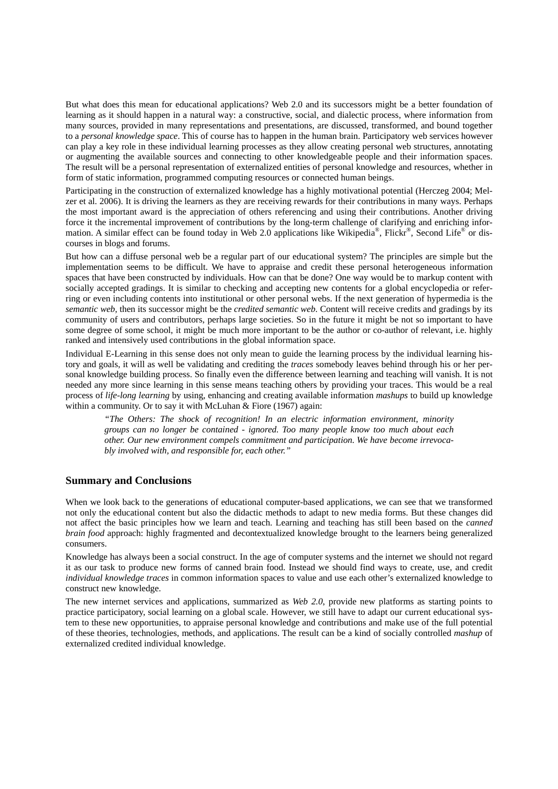But what does this mean for educational applications? Web 2.0 and its successors might be a better foundation of learning as it should happen in a natural way: a constructive, social, and dialectic process, where information from many sources, provided in many representations and presentations, are discussed, transformed, and bound together to a *personal knowledge space*. This of course has to happen in the human brain. Participatory web services however can play a key role in these individual learning processes as they allow creating personal web structures, annotating or augmenting the available sources and connecting to other knowledgeable people and their information spaces. The result will be a personal representation of externalized entities of personal knowledge and resources, whether in form of static information, programmed computing resources or connected human beings.

Participating in the construction of externalized knowledge has a highly motivational potential (Herczeg 2004; Melzer et al. 2006). It is driving the learners as they are receiving rewards for their contributions in many ways. Perhaps the most important award is the appreciation of others referencing and using their contributions. Another driving force it the incremental improvement of contributions by the long-term challenge of clarifying and enriching information. A similar effect can be found today in Web 2.0 applications like Wikipedia®, Flickr®, Second Life® or discourses in blogs and forums.

But how can a diffuse personal web be a regular part of our educational system? The principles are simple but the implementation seems to be difficult. We have to appraise and credit these personal heterogeneous information spaces that have been constructed by individuals. How can that be done? One way would be to markup content with socially accepted gradings. It is similar to checking and accepting new contents for a global encyclopedia or referring or even including contents into institutional or other personal webs. If the next generation of hypermedia is the *semantic web*, then its successor might be the *credited semantic web*. Content will receive credits and gradings by its community of users and contributors, perhaps large societies. So in the future it might be not so important to have some degree of some school, it might be much more important to be the author or co-author of relevant, i.e. highly ranked and intensively used contributions in the global information space.

Individual E-Learning in this sense does not only mean to guide the learning process by the individual learning history and goals, it will as well be validating and crediting the *traces* somebody leaves behind through his or her personal knowledge building process. So finally even the difference between learning and teaching will vanish. It is not needed any more since learning in this sense means teaching others by providing your traces. This would be a real process of *life-long learning* by using, enhancing and creating available information *mashups* to build up knowledge within a community. Or to say it with McLuhan & Fiore (1967) again:

*"The Others: The shock of recognition! In an electric information environment, minority groups can no longer be contained - ignored. Too many people know too much about each other. Our new environment compels commitment and participation. We have become irrevocably involved with, and responsible for, each other."* 

### **Summary and Conclusions**

When we look back to the generations of educational computer-based applications, we can see that we transformed not only the educational content but also the didactic methods to adapt to new media forms. But these changes did not affect the basic principles how we learn and teach. Learning and teaching has still been based on the *canned brain food* approach: highly fragmented and decontextualized knowledge brought to the learners being generalized consumers.

Knowledge has always been a social construct. In the age of computer systems and the internet we should not regard it as our task to produce new forms of canned brain food. Instead we should find ways to create, use, and credit *individual knowledge traces* in common information spaces to value and use each other's externalized knowledge to construct new knowledge.

The new internet services and applications, summarized as *Web 2.0*, provide new platforms as starting points to practice participatory, social learning on a global scale. However, we still have to adapt our current educational system to these new opportunities, to appraise personal knowledge and contributions and make use of the full potential of these theories, technologies, methods, and applications. The result can be a kind of socially controlled *mashup* of externalized credited individual knowledge.